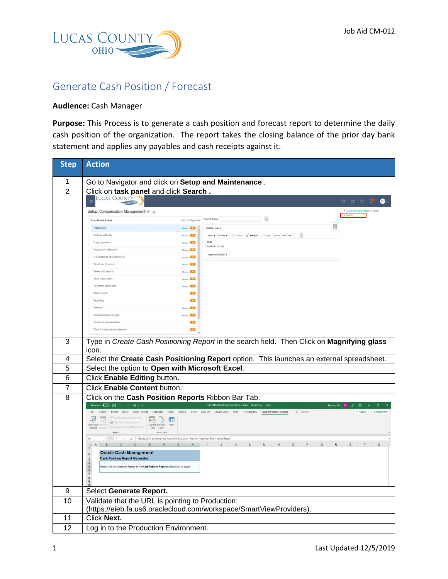

## Generate Cash Position / Forecast

## **Audience:** Cash Manager

**Purpose:** This Process is to generate a cash position and forecast report to determine the daily cash position of the organization. The report takes the closing balance of the prior day bank statement and applies any payables and cash receipts against it.

| <b>Step</b>    | <b>Action</b>                                                                                                                                                                                                                                                                                                               |  |  |  |  |  |  |  |  |
|----------------|-----------------------------------------------------------------------------------------------------------------------------------------------------------------------------------------------------------------------------------------------------------------------------------------------------------------------------|--|--|--|--|--|--|--|--|
| 1              | Go to Navigator and click on Setup and Maintenance.                                                                                                                                                                                                                                                                         |  |  |  |  |  |  |  |  |
| $\overline{2}$ | Click on task panel and click Search.                                                                                                                                                                                                                                                                                       |  |  |  |  |  |  |  |  |
|                | <b>LUCAS COUNTY</b><br>* P P<br>$\bullet$<br>fa .                                                                                                                                                                                                                                                                           |  |  |  |  |  |  |  |  |
|                | · Assigned Implementation Tasks<br>Setup: Compensation Management • B<br>· Search                                                                                                                                                                                                                                           |  |  |  |  |  |  |  |  |
|                | $\alpha$<br>Search Tasks<br>View Configuration<br><b>Functional Areas</b>                                                                                                                                                                                                                                                   |  |  |  |  |  |  |  |  |
|                | $\equiv$<br>Shared <b>Bank</b><br>* Initial Users<br><b>Initial Users</b>                                                                                                                                                                                                                                                   |  |  |  |  |  |  |  |  |
|                | * Enterprise Profile<br>Shared <b>Card</b><br>$\check{\phantom{a}}$<br>View v Format v Freeze W Detach Al Wrap Show All Tasks                                                                                                                                                                                               |  |  |  |  |  |  |  |  |
|                | Task<br>* Legal Structures<br>Shared <b>Card</b><br>No data to display                                                                                                                                                                                                                                                      |  |  |  |  |  |  |  |  |
|                | * Organization Structures<br>Shared <b>Call</b><br>Columns Hidden 3                                                                                                                                                                                                                                                         |  |  |  |  |  |  |  |  |
|                | * Financial Reporting Structures<br>Shared <b>Card</b>                                                                                                                                                                                                                                                                      |  |  |  |  |  |  |  |  |
|                | * Workforce Structures<br><b>Shared Card</b><br>* Users and Security<br>Shared <b>Card</b>                                                                                                                                                                                                                                  |  |  |  |  |  |  |  |  |
|                | <b>HCM Data Loader</b><br>Shared <b>Ball</b>                                                                                                                                                                                                                                                                                |  |  |  |  |  |  |  |  |
|                | Worldorce Information<br>Shared <b>Bull</b>                                                                                                                                                                                                                                                                                 |  |  |  |  |  |  |  |  |
|                | * Basic Payroll<br>$\overline{\phantom{a}}$                                                                                                                                                                                                                                                                                 |  |  |  |  |  |  |  |  |
|                | * Base Pay<br><b>COL</b>                                                                                                                                                                                                                                                                                                    |  |  |  |  |  |  |  |  |
|                | * Benefits<br><b>Shaned Band</b>                                                                                                                                                                                                                                                                                            |  |  |  |  |  |  |  |  |
|                | * Individual Compensation<br>Shared <b>Call</b>                                                                                                                                                                                                                                                                             |  |  |  |  |  |  |  |  |
|                | * Workforce Compensation<br><b>Circuit</b>                                                                                                                                                                                                                                                                                  |  |  |  |  |  |  |  |  |
|                | * Total Compensation Statements<br>$\overline{\phantom{a}}$                                                                                                                                                                                                                                                                 |  |  |  |  |  |  |  |  |
| 3              | Type in Create Cash Positioning Report in the search field. Then Click on Magnifying glass                                                                                                                                                                                                                                  |  |  |  |  |  |  |  |  |
|                | icon.                                                                                                                                                                                                                                                                                                                       |  |  |  |  |  |  |  |  |
| 4              | Select the Create Cash Positioning Report option. This launches an external spreadsheet.                                                                                                                                                                                                                                    |  |  |  |  |  |  |  |  |
| 5              | Select the option to Open with Microsoft Excel.                                                                                                                                                                                                                                                                             |  |  |  |  |  |  |  |  |
| 6              | Click Enable Editing button.                                                                                                                                                                                                                                                                                                |  |  |  |  |  |  |  |  |
| 7              | Click Enable Content button.                                                                                                                                                                                                                                                                                                |  |  |  |  |  |  |  |  |
| 8              | Click on the Cash Position Reports Ribbon Bar Tab.                                                                                                                                                                                                                                                                          |  |  |  |  |  |  |  |  |
|                | CeCashPositionReportGenerator-2.xlsm - Read-Only - Excel<br>AutoSave <b>Off</b> E<br>$\sim$ $\sim$ $\sim$ $\sim$ $\sim$<br>$\varnothing$ $\Box$<br><b>Bender, Eric</b><br>σ                                                                                                                                                 |  |  |  |  |  |  |  |  |
|                | Home Insert Draw Page Layout Formulas Data Review View Add-ins Smart-View Help BI-Publisher Cash-Position-Reports<br>$\triangle$ Share $\Box$ Comments<br>File<br>O Search                                                                                                                                                  |  |  |  |  |  |  |  |  |
|                | The Tchange Report Parameters <b>For Leg Limited</b><br>168<br>Add Manual Transaction<br>Submit Refresh Panel<br>Generate Refres<br>Report Report 11 Show/Hide Grid Dimensions Data Data                                                                                                                                    |  |  |  |  |  |  |  |  |
|                | Report<br>Smart View<br>$\begin{array}{ccccc} \star & \vdots & \times & \checkmark & \downarrow \end{array} \begin{array}{ccc} & & \text{Please click on Generate Report in the Cash Position Reports ribbon tab to begin} \end{array}$<br>R4<br>ABCDEF<br>M<br>$\circ$<br>N<br>$\circ$<br>P<br>$\mathbf{s}$<br>T<br>$\cup$ |  |  |  |  |  |  |  |  |
|                |                                                                                                                                                                                                                                                                                                                             |  |  |  |  |  |  |  |  |
|                | <b>Oracle Cash Management</b><br>$\overline{2}$<br><b>Cash Position Report Generator</b><br>$\overline{\mathbf{3}}$                                                                                                                                                                                                         |  |  |  |  |  |  |  |  |
|                | Please click on Generate Report in the Cash Position Reports ribbon tab to begin<br>$\overline{5}$                                                                                                                                                                                                                          |  |  |  |  |  |  |  |  |
|                | $\sqrt{6}$                                                                                                                                                                                                                                                                                                                  |  |  |  |  |  |  |  |  |
|                |                                                                                                                                                                                                                                                                                                                             |  |  |  |  |  |  |  |  |
| 9              | Select Generate Report.                                                                                                                                                                                                                                                                                                     |  |  |  |  |  |  |  |  |
| 10             | Validate that the URL is pointing to Production:                                                                                                                                                                                                                                                                            |  |  |  |  |  |  |  |  |
|                | (https://eieb.fa.us6.oraclecloud.com/workspace/SmartViewProviders)                                                                                                                                                                                                                                                          |  |  |  |  |  |  |  |  |
| 11             | <b>Click Next.</b>                                                                                                                                                                                                                                                                                                          |  |  |  |  |  |  |  |  |
| 12             | Log in to the Production Environment.                                                                                                                                                                                                                                                                                       |  |  |  |  |  |  |  |  |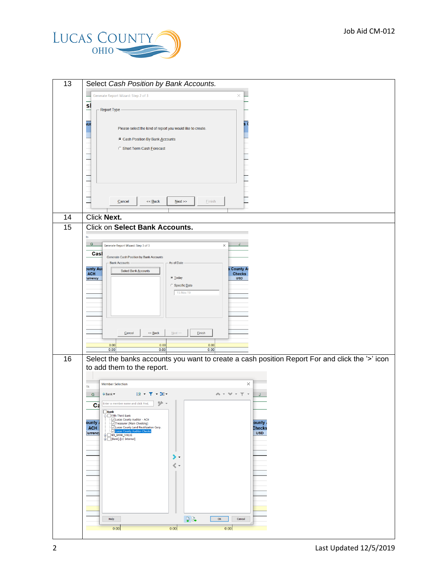

| Select Cash Position by Bank Accounts.                                                                                                                                 |  |  |  |  |  |  |
|------------------------------------------------------------------------------------------------------------------------------------------------------------------------|--|--|--|--|--|--|
| Generate Report Wizard: Step 2 of 3<br>×                                                                                                                               |  |  |  |  |  |  |
| sl                                                                                                                                                                     |  |  |  |  |  |  |
| <b>Report Type</b>                                                                                                                                                     |  |  |  |  |  |  |
| шò<br>Ŝ.<br>Please select the kind of report you would like to create.                                                                                                 |  |  |  |  |  |  |
| Cash Position By Bank Accounts                                                                                                                                         |  |  |  |  |  |  |
| <b>C Short Term Cash Eorecast</b>                                                                                                                                      |  |  |  |  |  |  |
|                                                                                                                                                                        |  |  |  |  |  |  |
|                                                                                                                                                                        |  |  |  |  |  |  |
|                                                                                                                                                                        |  |  |  |  |  |  |
|                                                                                                                                                                        |  |  |  |  |  |  |
| $<<$ Back<br>Next<br>Cancel<br>Einish                                                                                                                                  |  |  |  |  |  |  |
| Click Next.                                                                                                                                                            |  |  |  |  |  |  |
| <b>Click on Select Bank Accounts.</b>                                                                                                                                  |  |  |  |  |  |  |
| ts                                                                                                                                                                     |  |  |  |  |  |  |
| $\mathsf G$<br>Generate Report Wizard: Step 3 of 3<br>$\times$                                                                                                         |  |  |  |  |  |  |
| Casl<br>Generate Cash Position by Bank Accounts                                                                                                                        |  |  |  |  |  |  |
| As of Date<br><b>Bank Accounts</b><br><b>Junty Aud</b><br><b>County A</b><br>Select Bank Accounts                                                                      |  |  |  |  |  |  |
| <b>ACH</b><br><b>Checks</b><br>C Today<br><b>USD</b><br><b>urrency</b>                                                                                                 |  |  |  |  |  |  |
| $\subset$ Specific Date<br>15-Nov-19                                                                                                                                   |  |  |  |  |  |  |
|                                                                                                                                                                        |  |  |  |  |  |  |
|                                                                                                                                                                        |  |  |  |  |  |  |
|                                                                                                                                                                        |  |  |  |  |  |  |
| Cancel<br>$<<$ Back<br>Next<br>Einish                                                                                                                                  |  |  |  |  |  |  |
| 0.00<br>0.00<br>0.00<br>0.00<br>0.00<br>0.00                                                                                                                           |  |  |  |  |  |  |
| Select the banks accounts you want to create a cash position Report For and click the '>' icon                                                                         |  |  |  |  |  |  |
| to add them to the report.                                                                                                                                             |  |  |  |  |  |  |
|                                                                                                                                                                        |  |  |  |  |  |  |
| $\times$<br><b>Member Selection</b><br>ts                                                                                                                              |  |  |  |  |  |  |
| 控えて、証人<br>● Bank<br>$\mathsf{G}$<br>$\sigma_{\rm h}$ . $\tau$<br>Y<br>ソ・<br>Ca Enter a member name and click Find.                                                     |  |  |  |  |  |  |
| $\Box$ Bank                                                                                                                                                            |  |  |  |  |  |  |
| Fifth Third Bank<br>Jucas County Auditor - ACH<br>Jucas County Auditor - ACH<br>Jucas County Land Reutilization Corp.<br>Vucas County Auditor-Checks<br>ounty<br>ounty |  |  |  |  |  |  |
| <b>ACH</b><br>Checks<br><b>USD</b><br><b>Currency</b><br>NO_BANK_VALUE                                                                                                 |  |  |  |  |  |  |
| [Bank].[LC Internal]                                                                                                                                                   |  |  |  |  |  |  |
| ⋟.                                                                                                                                                                     |  |  |  |  |  |  |
| $\langle \cdot$                                                                                                                                                        |  |  |  |  |  |  |
|                                                                                                                                                                        |  |  |  |  |  |  |
|                                                                                                                                                                        |  |  |  |  |  |  |
|                                                                                                                                                                        |  |  |  |  |  |  |
|                                                                                                                                                                        |  |  |  |  |  |  |
| $\Box$<br>$\mathsf{OK}% \left( \mathcal{M}\right) \equiv\mathsf{OK}^{3}\left( \mathcal{M}\right)$<br>Help<br>Cancel                                                    |  |  |  |  |  |  |
| 0.00<br>0.00<br>0.00                                                                                                                                                   |  |  |  |  |  |  |
|                                                                                                                                                                        |  |  |  |  |  |  |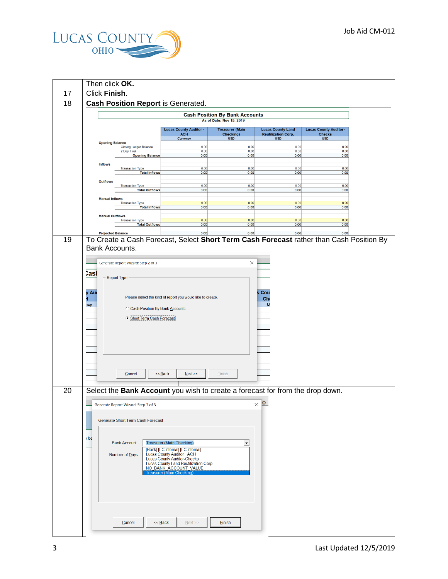